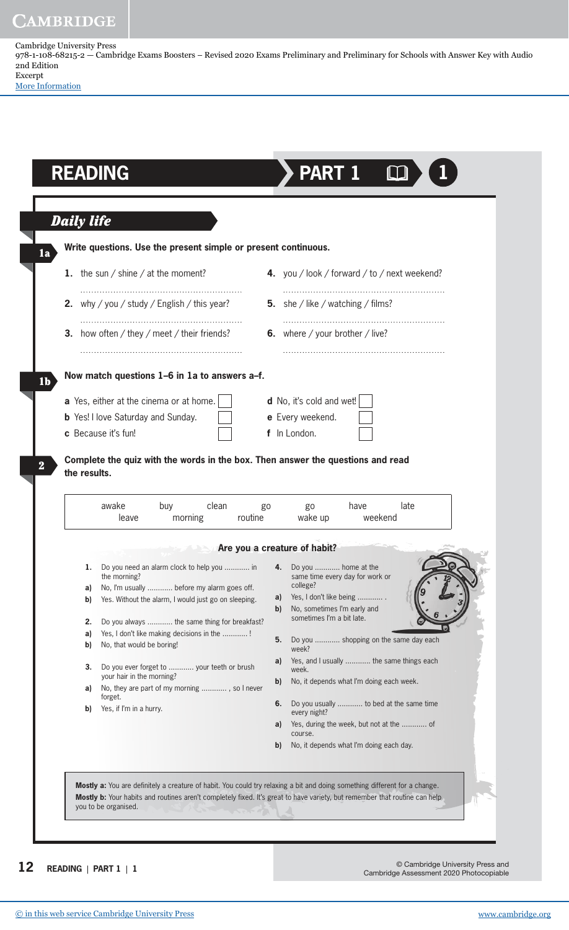Cambridge University Press 978-1-108-68215-2 — Cambridge Exams Boosters – Revised 2020 Exams Preliminary and Preliminary for Schools with Answer Key with Audio 2nd Edition Excerpt

[More Information](www.cambridge.org/9781108682152)

|              | <b>Daily life</b>                                                                                  |                                                                                                                                               |  |  |  |
|--------------|----------------------------------------------------------------------------------------------------|-----------------------------------------------------------------------------------------------------------------------------------------------|--|--|--|
|              | Write questions. Use the present simple or present continuous.                                     |                                                                                                                                               |  |  |  |
|              | 1. the sun / shine / at the moment?                                                                | 4. you / look / forward / to / next weekend?                                                                                                  |  |  |  |
|              | <b>2.</b> why / you / study / English / this year?                                                 | <b>5.</b> she / like / watching / films?                                                                                                      |  |  |  |
|              | <b>3.</b> how often / they / meet / their friends?                                                 | <b>6.</b> where / your brother / live?                                                                                                        |  |  |  |
|              | Now match questions 1-6 in 1a to answers a-f.                                                      |                                                                                                                                               |  |  |  |
|              | a Yes, either at the cinema or at home.                                                            | d No, it's cold and wet!                                                                                                                      |  |  |  |
|              | <b>b</b> Yes! I love Saturday and Sunday.                                                          | e Every weekend.                                                                                                                              |  |  |  |
|              | c Because it's fun!                                                                                | f In London.                                                                                                                                  |  |  |  |
| the results. | awake<br>clean<br>buy<br>routine<br>morning<br>leave                                               | Complete the quiz with the words in the box. Then answer the questions and read<br>late<br>have<br>go<br>g <sub>0</sub><br>wake up<br>weekend |  |  |  |
|              | <b>EXAMPLE 2015 Are you a creature of habit?</b>                                                   |                                                                                                                                               |  |  |  |
| 1.           | Do you need an alarm clock to help you  in<br>the morning?                                         | Do you  home at the<br>4.<br>same time every day for work or<br>college?                                                                      |  |  |  |
| a)<br>b)     | No, I'm usually  before my alarm goes off.<br>Yes. Without the alarm, I would just go on sleeping. | Yes, I don't like being<br>a)<br>No, sometimes I'm early and<br>$\mathbf{b}$                                                                  |  |  |  |
| 2.           | Do you always  the same thing for breakfast?                                                       | sometimes I'm a bit late.                                                                                                                     |  |  |  |
| a)<br>b)     | Yes, I don't like making decisions in the !<br>No, that would be boring!                           | 5.<br>Do you  shopping on the same day each<br>week?                                                                                          |  |  |  |
| 3.           | Do you ever forget to  your teeth or brush                                                         | Yes, and I usually  the same things each<br>a)<br>week.                                                                                       |  |  |  |
| a)           | your hair in the morning?<br>No, they are part of my morning , so I never                          | No, it depends what I'm doing each week.<br>b)                                                                                                |  |  |  |
| b)           | forget.<br>Yes, if I'm in a hurry.                                                                 | Do you usually  to bed at the same time<br>6.                                                                                                 |  |  |  |
|              |                                                                                                    | every night?<br>Yes, during the week, but not at the  of<br>a)                                                                                |  |  |  |
|              |                                                                                                    | course.<br>No, it depends what I'm doing each day.<br>b)                                                                                      |  |  |  |

**12** © Cambridge University Press and Cambridge Assessment 2020 Photocopiable **READING** | **PART 1** | **<sup>1</sup>**

[© in this web service Cambridge University Press](www.cambridge.org) www.cambridge.org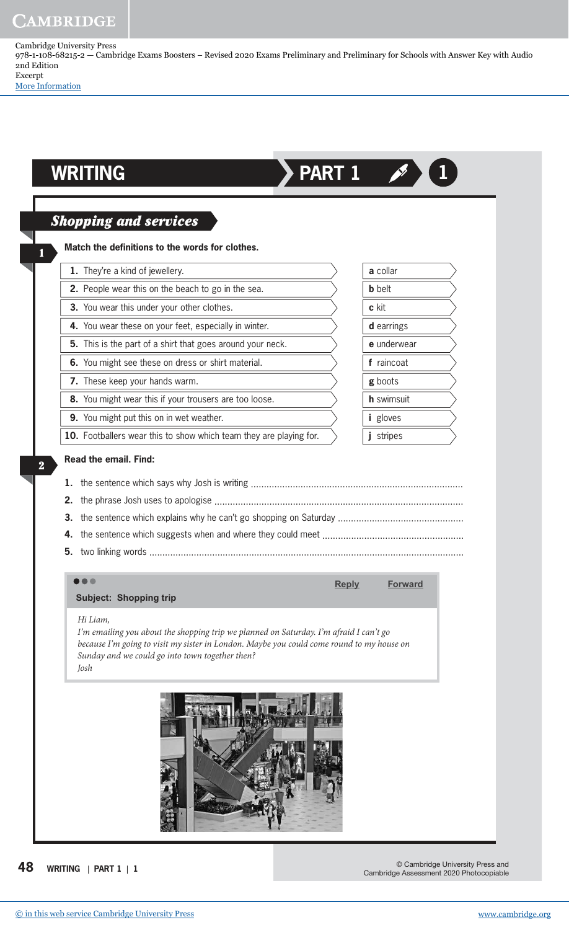Cambridge University Press 978-1-108-68215-2 — Cambridge Exams Boosters – Revised 2020 Exams Preliminary and Preliminary for Schools with Answer Key with Audio 2nd Edition Excerpt

[More Information](www.cambridge.org/9781108682152)

|                | <b>Shopping and services</b>                               |              |                 |  |
|----------------|------------------------------------------------------------|--------------|-----------------|--|
|                | Match the definitions to the words for clothes.            |              |                 |  |
|                | 1. They're a kind of jewellery.                            |              | a collar        |  |
|                | 2. People wear this on the beach to go in the sea.         |              | <b>b</b> belt   |  |
|                | 3. You wear this under your other clothes.                 |              | c kit           |  |
|                | 4. You wear these on your feet, especially in winter.      |              | d earrings      |  |
|                | 5. This is the part of a shirt that goes around your neck. |              | e underwear     |  |
|                | 6. You might see these on dress or shirt material.         |              | f raincoat      |  |
|                | 7. These keep your hands warm.                             |              | g boots         |  |
|                | 8. You might wear this if your trousers are too loose.     |              | h swimsuit      |  |
|                | 9. You might put this on in wet weather.                   |              | <i>i</i> gloves |  |
| 1.<br>2.<br>3. | <b>Read the email. Find:</b>                               |              | j stripes       |  |
| 4.<br>5.       |                                                            |              |                 |  |
|                | <b>Subject: Shopping trip</b><br>Hi Liam,                  | <b>Reply</b> | <b>Forward</b>  |  |

**48 WRITING** | **PART 1** | **<sup>1</sup>**

© Cambridge University Press and Cambridge Assessment 2020 Photocopiable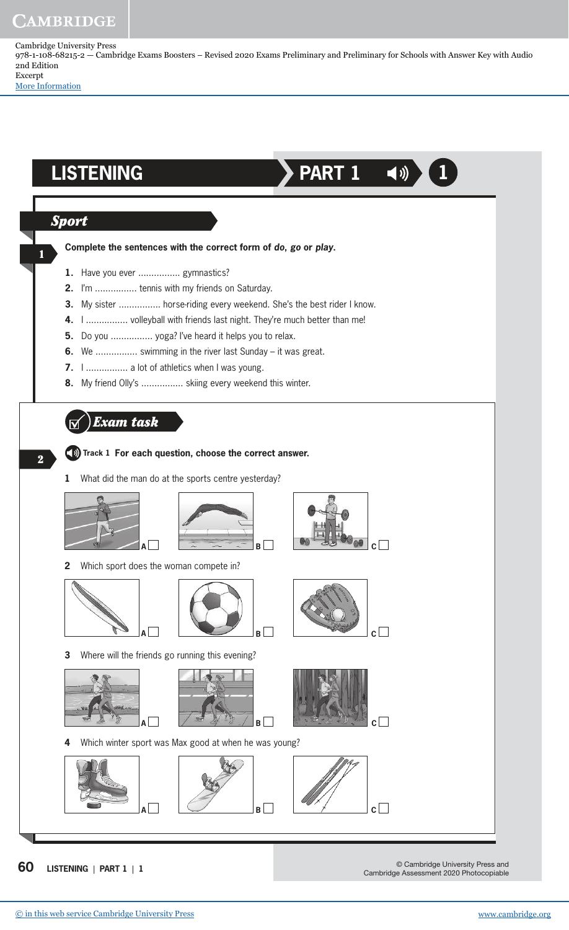Cambridge University Press 978-1-108-68215-2 — Cambridge Exams Boosters – Revised 2020 Exams Preliminary and Preliminary for Schools with Answer Key with Audio 2nd Edition Excerpt

[More Information](www.cambridge.org/9781108682152)